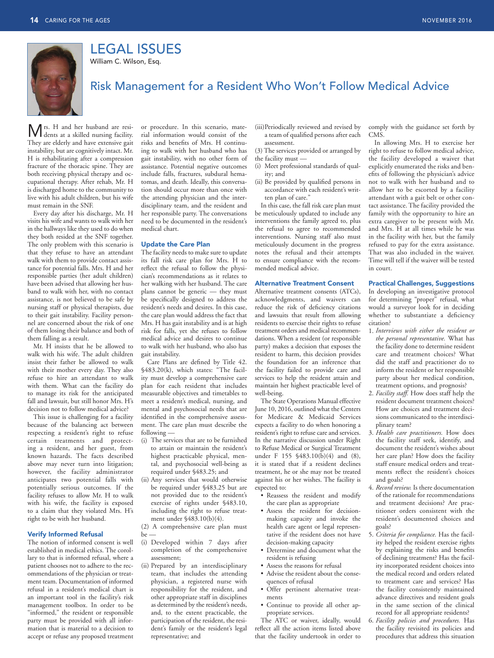

# LEGAL ISSUES

William C. Wilson, Esq.

## Risk Management for a Resident Who Won't Follow Medical Advice

They ar e elderly and have extensive gait Mrs. H and her husband are resi-dents at a skilled nursing facility. instability, but are cognitively intact. Mr. H is rehabilitating after a compression fracture of the thoracic spine. They are both receiving physical therapy and occupational therapy. After rehab, Mr. H is discharged home to the community to live with his adult children, but his wife must remain in the SNF.

 Every day after his discharge, Mr. H visits his wife and wants to walk with her in the hallways like they used to do when they both resided at the SNF together. The only problem with this scenario is that they refuse to have an attendant walk with them to provide contact assistance for potential falls. Mrs. H and her responsible parties (her adult children) have been advised that allowing her husband to walk with her, with no contact assistance, is not believed to be safe by nursing staff or physical therapists, due to their gait instability. Facility personnel are concerned about the risk of one of them losing their balance and both of them falling as a result.

Mr. H insists that he be allowed to walk with his wife. The adult children insist their father be allowed to walk with their mother every day. They also refuse to hire an attendant to walk with them. What can the facility do to manage its risk for the anticipated fall and lawsuit, but still honor Mrs. H's decision not to follow medical advice?

This issue is challenging for a facility because of the balancing act between respecting a resident's right to refuse certain treatments and protecting a resident, and her guest, from known hazards. The facts described above may never turn into litigation; however, the facility administrator anticipates two potential falls with potentially serious outcomes. If the facility refuses to allow Mr. H to walk with his wife, the facility is exposed to a claim that they violated Mrs. H's right to be with her husband.

### Verify Informed Refusal

The notion of informed consent is well established in medical ethics. The corollary to that is informed refusal, where a patient chooses not to adhere to the recommendations of the physician or treatment team. Documentation of informed refusal in a resident's medical chart is an important tool in the facility's risk management toolbox. In order to be "informed," the resident or responsible party must be provided with all information that is material to a decision to accept or refuse any proposed treatment

or procedure. In this scenario, material information would consist of the risks and benefits of Mrs. H continuing to walk with her husband who has gait instability, with no other form of assistance. Potential negative outcomes include falls, fractures, subdural hematomas, and death. Ideally, this conversation should occur more than once with the attending physician and the interdisciplinary team, and the resident and her responsible party. The conversations need to be documented in the resident's medical chart.

### Update the Care Plan

The facility needs to make sure to update its fall risk care plan for Mrs. H to reflect the refusal to follow the physician's recommendations as it relates to her walking with her husband. The care plans cannot be generic — they must be specifically designed to address the resident's needs and desires. In this case, the care plan would address the fact that Mrs. H has gait instability and is at high risk for falls, yet she refuses to follow medical advice and desires to continue to walk with her husband, who also has gait instability.

Care Plans are defined by Title 42. §483.20(k), which states: "The facility must develop a comprehensive care plan for each resident that includes measurable objectives and timetables to meet a resident's medical, nursing, and mental and psychosocial needs that are identified in the comprehensive assessment. The care plan must describe the following —

- (i) The services that are to be furnished to attain or maintain the resident's highest practicable physical, mental, and psychosocial well-being as required under §483.25; and
- (ii) Any services that would otherwise be required under §483.25 but are not provided due to the resident's exercise of rights under §483.10, including the right to refuse treatment under §483.10(b)(4).
- (2) A comprehensive care plan must  $be$
- (i) Developed within 7 days after completion of the comprehensive assessment;
- (ii) Prepared by an interdisciplinary team, that includes the attending physician, a registered nurse with responsibility for the resident, and other appropriate staff in disciplines as determined by the resident's needs, and, to the extent practicable, the participation of the resident, the resident's family or the resident's legal representative; and
- (iii)Periodically reviewed and revised by a team of qualified persons after each assessment.
- (3) The services provided or arranged by the facility must —
- 
- (i) Meet professional standards of quality; and
- (ii) Be provided by qualified persons in accordance with each resident's written plan of care."

In this case, the fall risk care plan must be meticulously updated to include any interventions the family agreed to, plus the refusal to agree to recommended interventions. Nursing staff also must meticulously document in the progress notes the refusal and their attempts to ensure compliance with the recommended medical advice.

### Alternative Treatment Consent

Alternative treatment consents (ATCs), acknowledgments, and waivers can reduce the risk of deficiency citations and lawsuits that result from allowing residents to exercise their rights to refuse treatment orders and medical recommendations. When a resident (or responsible party) makes a decision that exposes the resident to harm, this decision provides the foundation for an inference that the facility failed to provide care and services to help the resident attain and maintain her highest practicable level of well-being.

The State Operations Manual effective June 10, 2016, outlined what the Centers for Medicare & Medicaid Services expects a facility to do when honoring a resident's right to refuse care and services. In the narrative discussion under Right to Refuse Medical or Surgical Treatment under F 155 §483.10(b)(4) and (8), it is stated that if a resident declines treatment, he or she may not be treated against his or her wishes. The facility is expected to:

- Reassess the resident and modify the care plan as appropriate
- Assess the resident for decisionmaking capacity and invoke the health care agent or legal representative if the resident does not have decision-making capacity
- Determine and document what the resident is refusing
- Assess the reasons for refusal
- Advise the resident about the consequences of refusal
- Offer pertinent alternative treatments
- Continue to provide all other appropriate services.

 The ATC or waiver, ideally, would reflect all the action items listed above that the facility undertook in order to

comply with the guidance set forth by CMS.

In allowing Mrs. H to exercise her right to refuse to follow medical advice, the facility developed a waiver that explicitly enumerated the risks and benefits of following the physician's advice not to walk with her husband and to allow her to be escorted by a facility attendant with a gait belt or other contact assistance. The facility provided the family with the opportunity to hire an extra caregiver to be present with Mr. and Mrs. H at all times while he was in the facility with her, but the family refused to pay for the extra assistance. That was also included in the waiver. Time will tell if the waiver will be tested in court.

### Practical Challenges, Suggestions

In developing an investigative protocol for determining "proper" refusal, what would a surveyor look for in deciding whether to substantiate a deficiency citation?

- 1. *Interviews with either the resident or the personal representative.* What has the facility done to determine resident care and treatment choices? What did the staff and practitioner do to inform the resident or her responsible party about her medical condition, treatment options, and prognosis?
- 2. *Facility staff.* How does staff help the resident document treatment choices? How are choices and treatment decisions communicated to the interdisciplinary team?
- 3. *Health care practitioners.* How does the facility staff seek, identify, and document the resident's wishes about her care plan? How does the facility staff ensure medical orders and treatments reflect the resident's choices and goals?
- 4. *Record review.* Is there documentation of the rationale for recommendations and treatment decisions? Are practitioner orders consistent with the resident's documented choices and goals?
- 5. *Criteria for compliance.* Has the facility helped the resident exercise rights by explaining the risks and benefits of declining treatment? Has the facility incorporated resident choices into the medical record and orders related to treatment care and services? Has the facility consistently maintained advance directives and resident goals in the same section of the clinical record for all appropriate residents?
- 6. *Facility policies and procedures.* Has the facility revisited its policies and procedures that address this situation